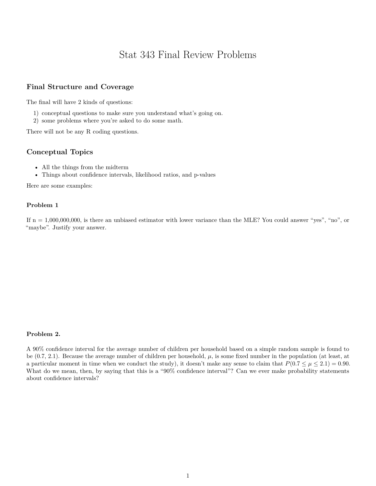# Stat 343 Final Review Problems

## **Final Structure and Coverage**

The final will have 2 kinds of questions:

- 1) conceptual questions to make sure you understand what's going on.
- 2) some problems where you're asked to do some math.

There will not be any R coding questions.

### **Conceptual Topics**

- All the things from the midterm
- Things about confidence intervals, likelihood ratios, and p-values

Here are some examples:

#### **Problem 1**

If  $n = 1,000,000,000$ , is there an unbiased estimator with lower variance than the MLE? You could answer "yes", "no", or "maybe". Justify your answer.

#### **Problem 2.**

A 90% confidence interval for the average number of children per household based on a simple random sample is found to be (0.7, 2.1). Because the average number of children per household, *µ*, is some fixed number in the population (at least, at a particular moment in time when we conduct the study), it doesn't make any sense to claim that  $P(0.7 \leq \mu \leq 2.1) = 0.90$ . What do we mean, then, by saying that this is a "90% confidence interval"? Can we ever make probability statements about confidence intervals?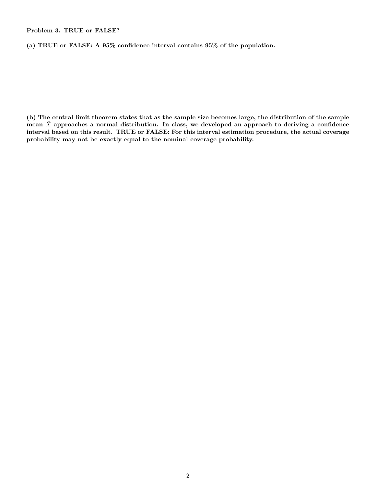**Problem 3. TRUE or FALSE?**

**(a) TRUE or FALSE: A 95% confidence interval contains 95% of the population.**

**(b) The central limit theorem states that as the sample size becomes large, the distribution of the sample** mean  $\bar{X}$  approaches a normal distribution. In class, we developed an approach to deriving a confidence **interval based on this result. TRUE or FALSE: For this interval estimation procedure, the actual coverage probability may not be exactly equal to the nominal coverage probability.**